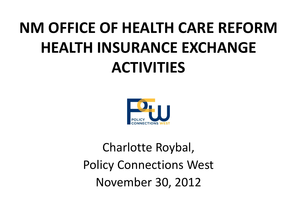#### **NM OFFICE OF HEALTH CARE REFORM HEALTH INSURANCE EXCHANGE ACTIVITIES**



Charlotte Roybal, Policy Connections West November 30, 2012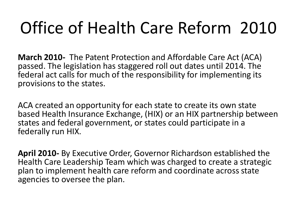**March 2010-** The Patent Protection and Affordable Care Act (ACA) passed. The legislation has staggered roll out dates until 2014. The federal act calls for much of the responsibility for implementing its provisions to the states.

ACA created an opportunity for each state to create its own state based Health Insurance Exchange, (HIX) or an HIX partnership between states and federal government, or states could participate in a federally run HIX.

**April 2010-** By Executive Order, Governor Richardson established the Health Care Leadership Team which was charged to create a strategic plan to implement health care reform and coordinate across state agencies to oversee the plan.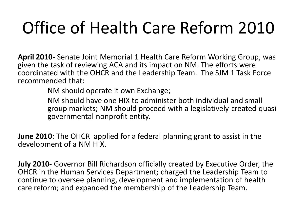**April 2010-** Senate Joint Memorial 1 Health Care Reform Working Group, was given the task of reviewing ACA and its impact on NM. The efforts were coordinated with the OHCR and the Leadership Team. The SJM 1 Task Force recommended that:

NM should operate it own Exchange;

NM should have one HIX to administer both individual and small group markets; NM should proceed with a legislatively created quasi governmental nonprofit entity.

**June 2010**: The OHCR applied for a federal planning grant to assist in the development of a NM HIX.

**July 2010-** Governor Bill Richardson officially created by Executive Order, the OHCR in the Human Services Department; charged the Leadership Team to continue to oversee planning, development and implementation of health care reform; and expanded the membership of the Leadership Team.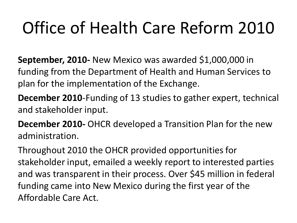**September, 2010-** New Mexico was awarded \$1,000,000 in funding from the Department of Health and Human Services to plan for the implementation of the Exchange.

**December 2010**-Funding of 13 studies to gather expert, technical and stakeholder input.

**December 2010-** OHCR developed a Transition Plan for the new administration.

Throughout 2010 the OHCR provided opportunities for stakeholder input, emailed a weekly report to interested parties and was transparent in their process. Over \$45 million in federal funding came into New Mexico during the first year of the Affordable Care Act.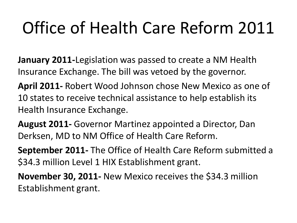**January 2011-**Legislation was passed to create a NM Health Insurance Exchange. The bill was vetoed by the governor.

**April 2011-** Robert Wood Johnson chose New Mexico as one of 10 states to receive technical assistance to help establish its Health Insurance Exchange.

**August 2011-** Governor Martinez appointed a Director, Dan Derksen, MD to NM Office of Health Care Reform.

**September 2011-** The Office of Health Care Reform submitted a \$34.3 million Level 1 HIX Establishment grant.

**November 30, 2011-** New Mexico receives the \$34.3 million Establishment grant.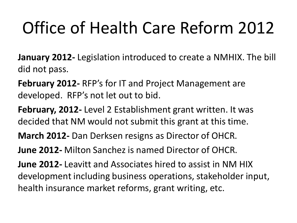**January 2012-** Legislation introduced to create a NMHIX. The bill did not pass.

**February 2012-** RFP's for IT and Project Management are developed. RFP's not let out to bid.

**February, 2012-** Level 2 Establishment grant written. It was decided that NM would not submit this grant at this time.

**March 2012-** Dan Derksen resigns as Director of OHCR.

**June 2012-** Milton Sanchez is named Director of OHCR.

**June 2012-** Leavitt and Associates hired to assist in NM HIX development including business operations, stakeholder input, health insurance market reforms, grant writing, etc.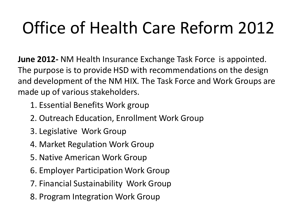**June 2012-** NM Health Insurance Exchange Task Force is appointed. The purpose is to provide HSD with recommendations on the design and development of the NM HIX. The Task Force and Work Groups are made up of various stakeholders.

- 1. Essential Benefits Work group
- 2. Outreach Education, Enrollment Work Group
- 3. Legislative Work Group
- 4. Market Regulation Work Group
- 5. Native American Work Group
- 6. Employer Participation Work Group
- 7. Financial Sustainability Work Group
- 8. Program Integration Work Group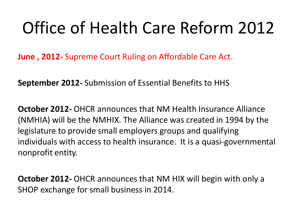**June , 2012-** Supreme Court Ruling on Affordable Care Act.

**September 2012-** Submission of Essential Benefits to HHS

**October 2012-** OHCR announces that NM Health Insurance Alliance (NMHIA) will be the NMHIX. The Alliance was created in 1994 by the legislature to provide small employers groups and qualifying individuals with access to health insurance. It is a quasi-governmental nonprofit entity.

**October 2012-** OHCR announces that NM HIX will begin with only a SHOP exchange for small business in 2014.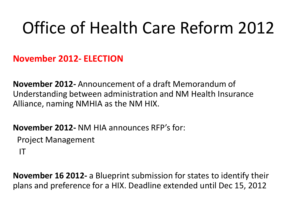**November 2012- ELECTION**

**November 2012-** Announcement of a draft Memorandum of Understanding between administration and NM Health Insurance Alliance, naming NMHIA as the NM HIX.

**November 2012-** NM HIA announces RFP's for:

Project Management

IT

**November 16 2012-** a Blueprint submission for states to identify their plans and preference for a HIX. Deadline extended until Dec 15, 2012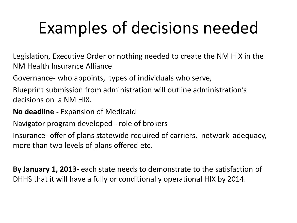# Examples of decisions needed

Legislation, Executive Order or nothing needed to create the NM HIX in the NM Health Insurance Alliance

Governance- who appoints, types of individuals who serve,

Blueprint submission from administration will outline administration's decisions on a NM HIX.

**No deadline -** Expansion of Medicaid

Navigator program developed - role of brokers

Insurance- offer of plans statewide required of carriers, network adequacy, more than two levels of plans offered etc.

**By January 1, 2013-** each state needs to demonstrate to the satisfaction of DHHS that it will have a fully or conditionally operational HIX by 2014.